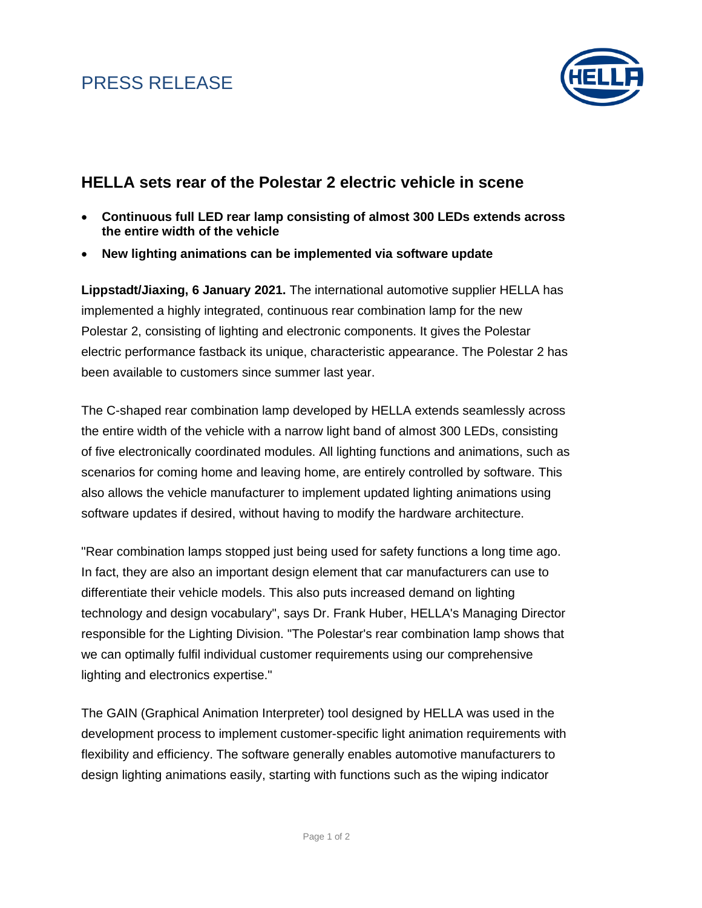# PRESS RELEASE



### **HELLA sets rear of the Polestar 2 electric vehicle in scene**

- **Continuous full LED rear lamp consisting of almost 300 LEDs extends across the entire width of the vehicle**
- **New lighting animations can be implemented via software update**

**Lippstadt/Jiaxing, 6 January 2021.** The international automotive supplier HELLA has implemented a highly integrated, continuous rear combination lamp for the new Polestar 2, consisting of lighting and electronic components. It gives the Polestar electric performance fastback its unique, characteristic appearance. The Polestar 2 has been available to customers since summer last year.

The C-shaped rear combination lamp developed by HELLA extends seamlessly across the entire width of the vehicle with a narrow light band of almost 300 LEDs, consisting of five electronically coordinated modules. All lighting functions and animations, such as scenarios for coming home and leaving home, are entirely controlled by software. This also allows the vehicle manufacturer to implement updated lighting animations using software updates if desired, without having to modify the hardware architecture.

"Rear combination lamps stopped just being used for safety functions a long time ago. In fact, they are also an important design element that car manufacturers can use to differentiate their vehicle models. This also puts increased demand on lighting technology and design vocabulary", says Dr. Frank Huber, HELLA's Managing Director responsible for the Lighting Division. "The Polestar's rear combination lamp shows that we can optimally fulfil individual customer requirements using our comprehensive lighting and electronics expertise."

The GAIN (Graphical Animation Interpreter) tool designed by HELLA was used in the development process to implement customer-specific light animation requirements with flexibility and efficiency. The software generally enables automotive manufacturers to design lighting animations easily, starting with functions such as the wiping indicator